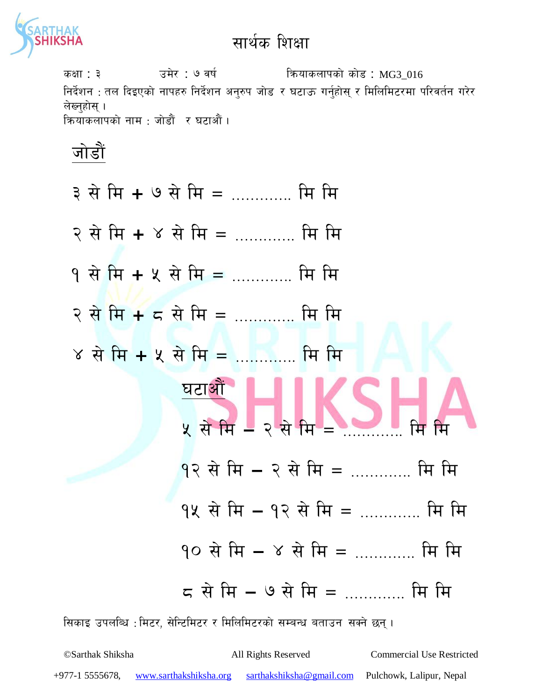

sIff : # pd]/ : & jif{ lqmofsnfksf] sf]8 : MG3\_016 निर्देशन : तल दिइएको नापहरु निर्देशन अन्**रुप जोड र घटाऊ गर्न्**होस् र मिलिमिटरमा परिवर्तन गरेर लेख्नुहोस् । क्रियाकलापको नाम : जोडौं र घटाऔं ।



- $9$  से मि + ५ से मि = …………. मि मि
- $\overline{R}$  से मि  $\overline{R}$  =  $\overline{R}$  ,  $\overline{R}$  and  $\overline{R}$  and  $\overline{R}$  and  $\overline{R}$  $\gamma$  से मि + ५ से मि = …………. मि मि
- 



- $9$ २ से मि २ से मि = ………… मि मि
- 9४ से मि १२ से मि = ............. मि मि
- $90$  से मि ४ से मि = ………… मि मि
- $\sigma$  से मि ७ से मि = …………. मि मि

सिकाइ उपलब्धि : मिटर, सेन्टिमिटर र मिलिमिटरको सम्बन्ध बताउन सक्ने छन् ।

©Sarthak Shiksha All Rights Reserved Commercial Use Restricted +977-1 5555678, www.sarthakshiksha.org sarthakshiksha@gmail.com Pulchowk, Lalipur, Nepal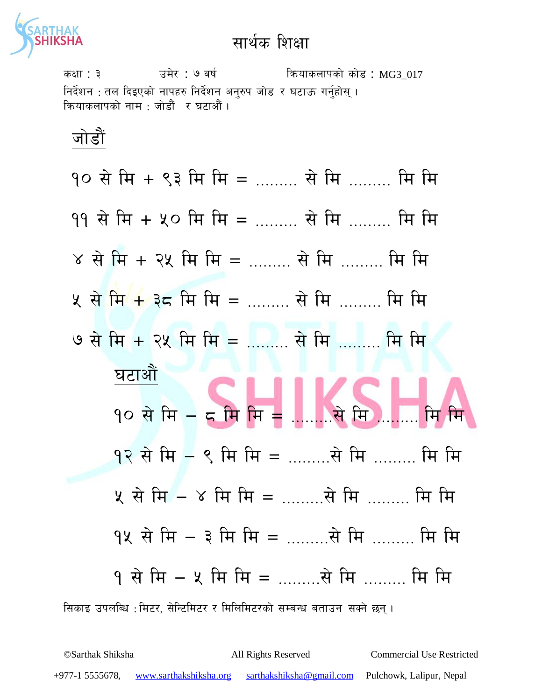

sIff : # pd]/ : & jif{ lqmofsnfksf] sf]8 : MG3\_017 निर्देशन : तल दिइएको नापहरु निर्देशन अनुरुप जोड र घटाऊ गर्नुहोस् । कियाकलापको नाम : जोडौं र घटाऔं ।

जोडौं

सिकाइ उपलब्धि :मिटर, सेन्टिमिटर र मिलिमिटरको सम्बन्ध बताउन सक्ने छन् ।  $90$  से मि + ९३ मि मि = ……… से मि ……… मि मि  $99$  से मि + ५० मि मि = ……… से मि ……… मि मि  $\gamma$  से मि + २५ मि मि = ……… से मि ……… मि मि ५ से मि + ३८ मि मि = ……… से मि ……… मि मि  $\theta$  से मि + २५ मि मि = ……… से मि ……… मि मि घटाओं 90 से मि – द मि मि = .......से मि …….. मि मि  $9$ २ से मि  $-$  ९ मि मि = ………से मि ……… मि मि  $x$  से मि  $-$  ४ मि मि  $=$  ………से मि ……… मि मि  $9$ ५ से मि  $-$  ३ मि मि  $=$  ………से मि ……… मि मि  $9$  से मि  $-$  ४ मि मि  $=$  ………से मि ……… मि मि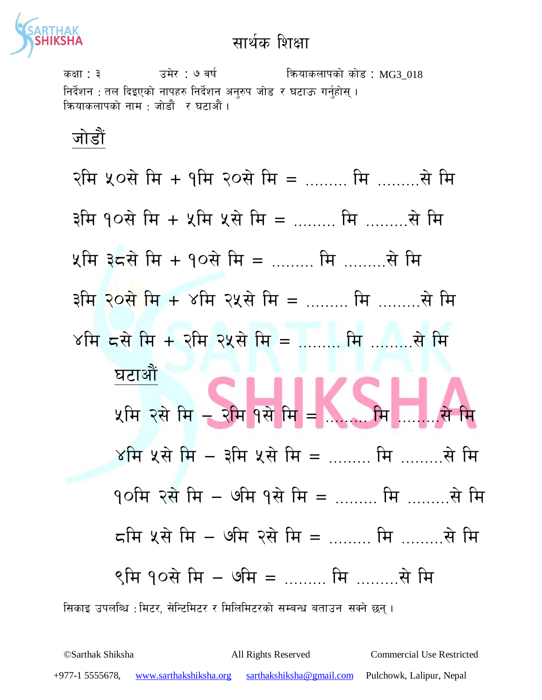

sIff : # pd]/ : & jif{ lqmofsnfksf] sf]8 : MG3\_018 निर्देशन : तल दिइएको नापहरु निर्देशन अनुरुप जोड र घटाऊ गर्नुहोस् । कियाकलापको नाम : जोडौं र घटाऔं ।

जोडौं

सिकाइ उपलब्धि : मिटर, सेन्टिमिटर र मिलिमिटरको सम्बन्ध बताउन सक्ने छन्। रमि ५०से मि + १मि २०से मि = ……… मि ………से मि  $R^2 + 40$ से मि + 2 मि 2 से मि = ……… मि ……… से मि  $x$ मि ३८से मि + १०से मि = ……… मि ………से मि  $3\pi$  २०से मि + ४मि २५से मि = ……… मि ………से मि  $8\pi$  50  $\frac{1}{4}$  or  $\frac{1}{4}$  ..........  $\frac{1}{4}$ घटाओं  $x$ मि २से मि – २मि १से मि =  $\gamma$ मि ५से मि – ईमि ५से मि = ……… मि ………से मि  $9$ ाम २से मि – ७मि १से मि = ……… मि ………से मि  $\varsigma$ मि ५से मि – ७मि २से मि = ……… मि ………से मि  $8$ मि १०से मि — ७मि  $=$  भि लिया थि मि